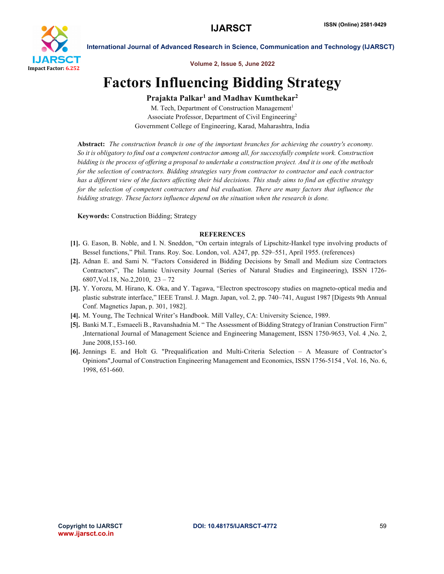

International Journal of Advanced Research in Science, Communication and Technology (IJARSCT)

Volume 2, Issue 5, June 2022

## Factors Influencing Bidding Strategy

## Prajakta Palkar<sup>1</sup> and Madhav Kumthekar<sup>2</sup>

M. Tech, Department of Construction Management<sup>1</sup> Associate Professor, Department of Civil Engineering2 Government College of Engineering, Karad, Maharashtra, India

Abstract: *The construction branch is one of the important branches for achieving the country's economy. So it is obligatory to find out a competent contractor among all, for successfully complete work. Construction bidding is the process of offering a proposal to undertake a construction project. And it is one of the methods for the selection of contractors. Bidding strategies vary from contractor to contractor and each contractor has a different view of the factors affecting their bid decisions. This study aims to find an effective strategy for the selection of competent contractors and bid evaluation. There are many factors that influence the bidding strategy. These factors influence depend on the situation when the research is done.*

Keywords: Construction Bidding; Strategy

## **REFERENCES**

- [1]. G. Eason, B. Noble, and I. N. Sneddon, "On certain integrals of Lipschitz-Hankel type involving products of Bessel functions," Phil. Trans. Roy. Soc. London, vol. A247, pp. 529–551, April 1955. (references)
- [2]. Adnan E. and Sami N. "Factors Considered in Bidding Decisions by Small and Medium size Contractors Contractors", The Islamic University Journal (Series of Natural Studies and Engineering), ISSN 1726- 6807,Vol.18, No.2,2010, 23 – 72
- [3]. Y. Yorozu, M. Hirano, K. Oka, and Y. Tagawa, "Electron spectroscopy studies on magneto-optical media and plastic substrate interface," IEEE Transl. J. Magn. Japan, vol. 2, pp. 740–741, August 1987 [Digests 9th Annual Conf. Magnetics Japan, p. 301, 1982].
- [4]. M. Young, The Technical Writer's Handbook. Mill Valley, CA: University Science, 1989.
- [5]. Banki M.T., Esmaeeli B., Ravanshadnia M. " The Assessment of Bidding Strategy of Iranian Construction Firm" ,International Journal of Management Science and Engineering Management, ISSN 1750-9653, Vol. 4 ,No. 2, June 2008,153-160.
- [6]. Jennings E. and Holt G. "Prequalification and Multi-Criteria Selection A Measure of Contractor's Opinions",Journal of Construction Engineering Management and Economics, ISSN 1756-5154 , Vol. 16, No. 6, 1998, 651-660.